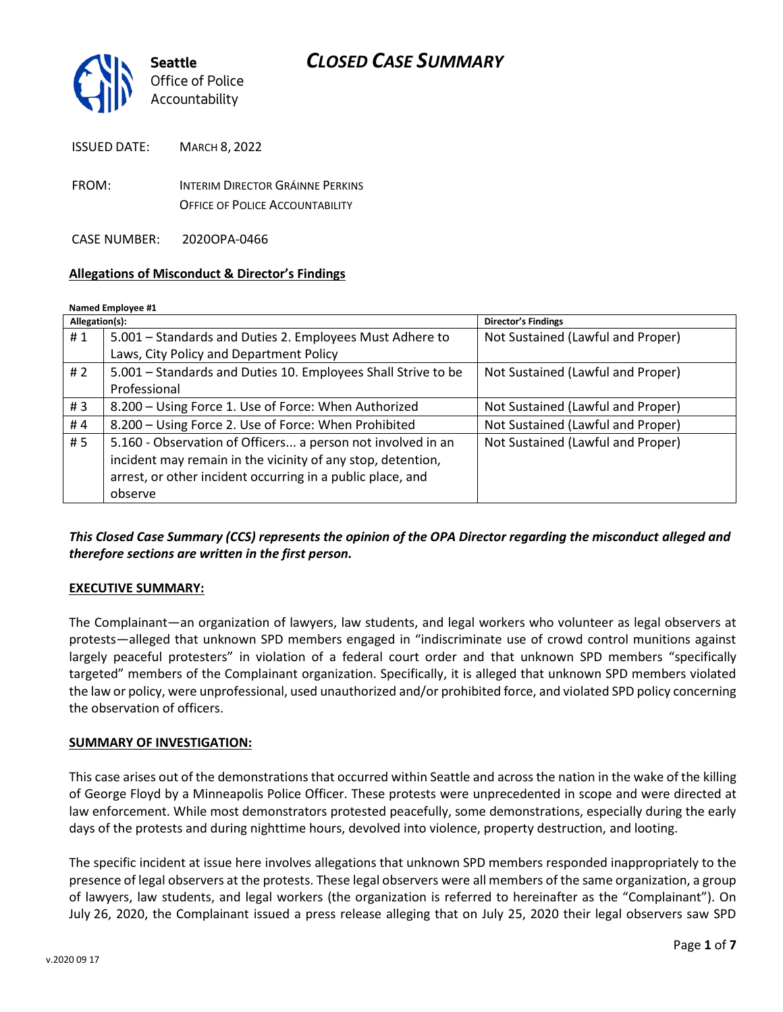

| FROM:<br><b>OFFICE OF POLICE ACCOUNTABILITY</b> | <b>ISSUED DATE:</b> | <b>MARCH 8, 2022</b>             |
|-------------------------------------------------|---------------------|----------------------------------|
|                                                 |                     | INTERIM DIRECTOR GRÁINNE PERKINS |

CASE NUMBER: 2020OPA-0466

#### **Allegations of Misconduct & Director's Findings**

#### **Named Employee #1**

| Allegation(s): |                                                               | <b>Director's Findings</b>        |
|----------------|---------------------------------------------------------------|-----------------------------------|
| #1             | 5.001 – Standards and Duties 2. Employees Must Adhere to      | Not Sustained (Lawful and Proper) |
|                | Laws, City Policy and Department Policy                       |                                   |
| #2             | 5.001 - Standards and Duties 10. Employees Shall Strive to be | Not Sustained (Lawful and Proper) |
|                | Professional                                                  |                                   |
| #3             | 8.200 - Using Force 1. Use of Force: When Authorized          | Not Sustained (Lawful and Proper) |
| #4             | 8.200 - Using Force 2. Use of Force: When Prohibited          | Not Sustained (Lawful and Proper) |
| #5             | 5.160 - Observation of Officers a person not involved in an   | Not Sustained (Lawful and Proper) |
|                | incident may remain in the vicinity of any stop, detention,   |                                   |
|                | arrest, or other incident occurring in a public place, and    |                                   |
|                | observe                                                       |                                   |
|                |                                                               |                                   |

#### *This Closed Case Summary (CCS) represents the opinion of the OPA Director regarding the misconduct alleged and therefore sections are written in the first person.*

#### **EXECUTIVE SUMMARY:**

The Complainant—an organization of lawyers, law students, and legal workers who volunteer as legal observers at protests—alleged that unknown SPD members engaged in "indiscriminate use of crowd control munitions against largely peaceful protesters" in violation of a federal court order and that unknown SPD members "specifically targeted" members of the Complainant organization. Specifically, it is alleged that unknown SPD members violated the law or policy, were unprofessional, used unauthorized and/or prohibited force, and violated SPD policy concerning the observation of officers.

#### **SUMMARY OF INVESTIGATION:**

This case arises out of the demonstrations that occurred within Seattle and across the nation in the wake of the killing of George Floyd by a Minneapolis Police Officer. These protests were unprecedented in scope and were directed at law enforcement. While most demonstrators protested peacefully, some demonstrations, especially during the early days of the protests and during nighttime hours, devolved into violence, property destruction, and looting.

The specific incident at issue here involves allegations that unknown SPD members responded inappropriately to the presence of legal observers at the protests. These legal observers were all members of the same organization, a group of lawyers, law students, and legal workers (the organization is referred to hereinafter as the "Complainant"). On July 26, 2020, the Complainant issued a press release alleging that on July 25, 2020 their legal observers saw SPD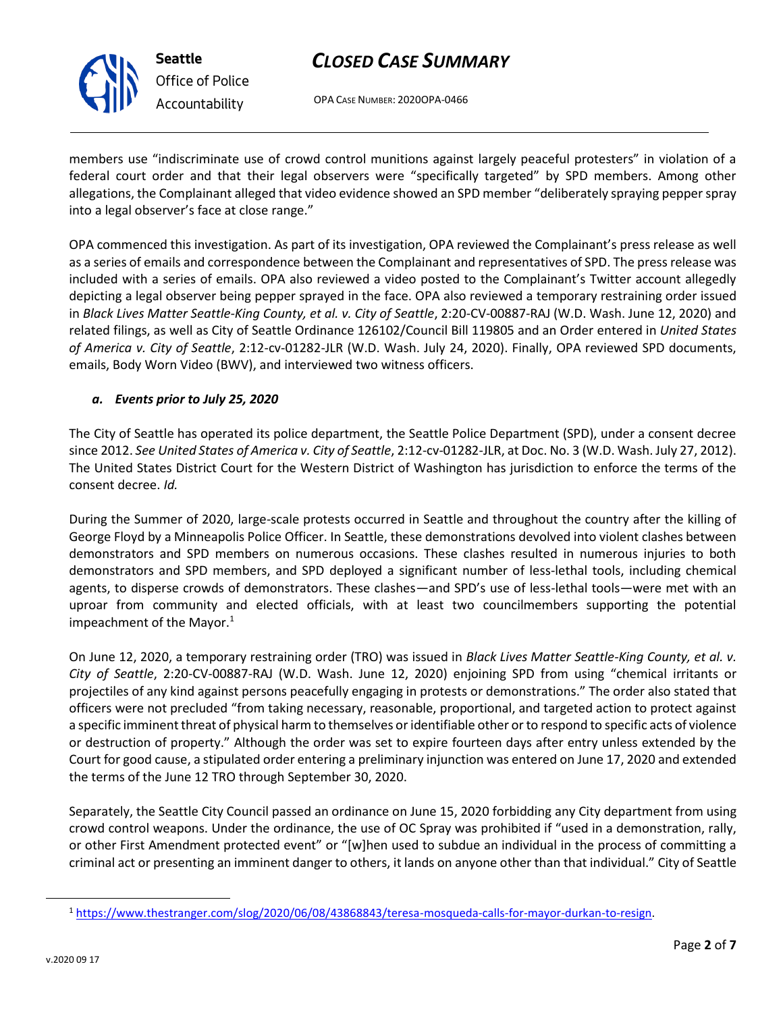

OPA CASE NUMBER: 2020OPA-0466

members use "indiscriminate use of crowd control munitions against largely peaceful protesters" in violation of a federal court order and that their legal observers were "specifically targeted" by SPD members. Among other allegations, the Complainant alleged that video evidence showed an SPD member "deliberately spraying pepper spray into a legal observer's face at close range."

OPA commenced this investigation. As part of its investigation, OPA reviewed the Complainant's press release as well as a series of emails and correspondence between the Complainant and representatives of SPD. The press release was included with a series of emails. OPA also reviewed a video posted to the Complainant's Twitter account allegedly depicting a legal observer being pepper sprayed in the face. OPA also reviewed a temporary restraining order issued in *Black Lives Matter Seattle-King County, et al. v. City of Seattle*, 2:20-CV-00887-RAJ (W.D. Wash. June 12, 2020) and related filings, as well as City of Seattle Ordinance 126102/Council Bill 119805 and an Order entered in *United States of America v. City of Seattle*, 2:12-cv-01282-JLR (W.D. Wash. July 24, 2020). Finally, OPA reviewed SPD documents, emails, Body Worn Video (BWV), and interviewed two witness officers.

## *a. Events prior to July 25, 2020*

The City of Seattle has operated its police department, the Seattle Police Department (SPD), under a consent decree since 2012. *See United States of America v. City of Seattle*, 2:12-cv-01282-JLR, at Doc. No. 3 (W.D. Wash. July 27, 2012). The United States District Court for the Western District of Washington has jurisdiction to enforce the terms of the consent decree. *Id.*

During the Summer of 2020, large-scale protests occurred in Seattle and throughout the country after the killing of George Floyd by a Minneapolis Police Officer. In Seattle, these demonstrations devolved into violent clashes between demonstrators and SPD members on numerous occasions. These clashes resulted in numerous injuries to both demonstrators and SPD members, and SPD deployed a significant number of less-lethal tools, including chemical agents, to disperse crowds of demonstrators. These clashes—and SPD's use of less-lethal tools—were met with an uproar from community and elected officials, with at least two councilmembers supporting the potential impeachment of the Mayor. $1$ 

On June 12, 2020, a temporary restraining order (TRO) was issued in *Black Lives Matter Seattle-King County, et al. v. City of Seattle*, 2:20-CV-00887-RAJ (W.D. Wash. June 12, 2020) enjoining SPD from using "chemical irritants or projectiles of any kind against persons peacefully engaging in protests or demonstrations." The order also stated that officers were not precluded "from taking necessary, reasonable, proportional, and targeted action to protect against a specific imminent threat of physical harm to themselves or identifiable other or to respond to specific acts of violence or destruction of property." Although the order was set to expire fourteen days after entry unless extended by the Court for good cause, a stipulated order entering a preliminary injunction was entered on June 17, 2020 and extended the terms of the June 12 TRO through September 30, 2020.

Separately, the Seattle City Council passed an ordinance on June 15, 2020 forbidding any City department from using crowd control weapons. Under the ordinance, the use of OC Spray was prohibited if "used in a demonstration, rally, or other First Amendment protected event" or "[w]hen used to subdue an individual in the process of committing a criminal act or presenting an imminent danger to others, it lands on anyone other than that individual." City of Seattle

<sup>1</sup> [https://www.thestranger.com/slog/2020/06/08/43868843/teresa-mosqueda-calls-for-mayor-durkan-to-resign.](https://www.thestranger.com/slog/2020/06/08/43868843/teresa-mosqueda-calls-for-mayor-durkan-to-resign)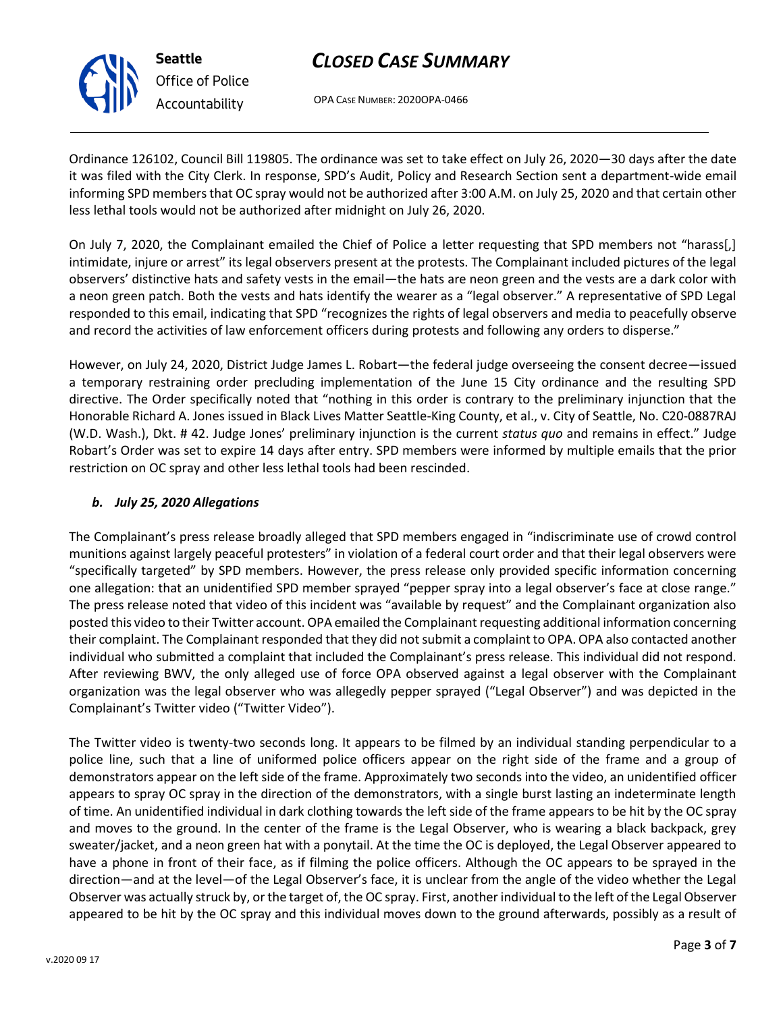OPA CASE NUMBER: 2020OPA-0466

Ordinance 126102, Council Bill 119805. The ordinance was set to take effect on July 26, 2020—30 days after the date it was filed with the City Clerk. In response, SPD's Audit, Policy and Research Section sent a department-wide email informing SPD members that OC spray would not be authorized after 3:00 A.M. on July 25, 2020 and that certain other less lethal tools would not be authorized after midnight on July 26, 2020.

On July 7, 2020, the Complainant emailed the Chief of Police a letter requesting that SPD members not "harass[,] intimidate, injure or arrest" its legal observers present at the protests. The Complainant included pictures of the legal observers' distinctive hats and safety vests in the email—the hats are neon green and the vests are a dark color with a neon green patch. Both the vests and hats identify the wearer as a "legal observer." A representative of SPD Legal responded to this email, indicating that SPD "recognizes the rights of legal observers and media to peacefully observe and record the activities of law enforcement officers during protests and following any orders to disperse."

However, on July 24, 2020, District Judge James L. Robart—the federal judge overseeing the consent decree—issued a temporary restraining order precluding implementation of the June 15 City ordinance and the resulting SPD directive. The Order specifically noted that "nothing in this order is contrary to the preliminary injunction that the Honorable Richard A. Jones issued in Black Lives Matter Seattle-King County, et al., v. City of Seattle, No. C20-0887RAJ (W.D. Wash.), Dkt. # 42. Judge Jones' preliminary injunction is the current *status quo* and remains in effect." Judge Robart's Order was set to expire 14 days after entry. SPD members were informed by multiple emails that the prior restriction on OC spray and other less lethal tools had been rescinded.

## *b. July 25, 2020 Allegations*

The Complainant's press release broadly alleged that SPD members engaged in "indiscriminate use of crowd control munitions against largely peaceful protesters" in violation of a federal court order and that their legal observers were "specifically targeted" by SPD members. However, the press release only provided specific information concerning one allegation: that an unidentified SPD member sprayed "pepper spray into a legal observer's face at close range." The press release noted that video of this incident was "available by request" and the Complainant organization also posted this video to their Twitter account. OPA emailed the Complainant requesting additional information concerning their complaint. The Complainant responded that they did not submit a complaint to OPA. OPA also contacted another individual who submitted a complaint that included the Complainant's press release. This individual did not respond. After reviewing BWV, the only alleged use of force OPA observed against a legal observer with the Complainant organization was the legal observer who was allegedly pepper sprayed ("Legal Observer") and was depicted in the Complainant's Twitter video ("Twitter Video").

The Twitter video is twenty-two seconds long. It appears to be filmed by an individual standing perpendicular to a police line, such that a line of uniformed police officers appear on the right side of the frame and a group of demonstrators appear on the left side of the frame. Approximately two seconds into the video, an unidentified officer appears to spray OC spray in the direction of the demonstrators, with a single burst lasting an indeterminate length of time. An unidentified individual in dark clothing towards the left side of the frame appears to be hit by the OC spray and moves to the ground. In the center of the frame is the Legal Observer, who is wearing a black backpack, grey sweater/jacket, and a neon green hat with a ponytail. At the time the OC is deployed, the Legal Observer appeared to have a phone in front of their face, as if filming the police officers. Although the OC appears to be sprayed in the direction—and at the level—of the Legal Observer's face, it is unclear from the angle of the video whether the Legal Observer was actually struck by, or the target of, the OC spray. First, another individual to the left of the Legal Observer appeared to be hit by the OC spray and this individual moves down to the ground afterwards, possibly as a result of



**Seattle**

*Office of Police Accountability*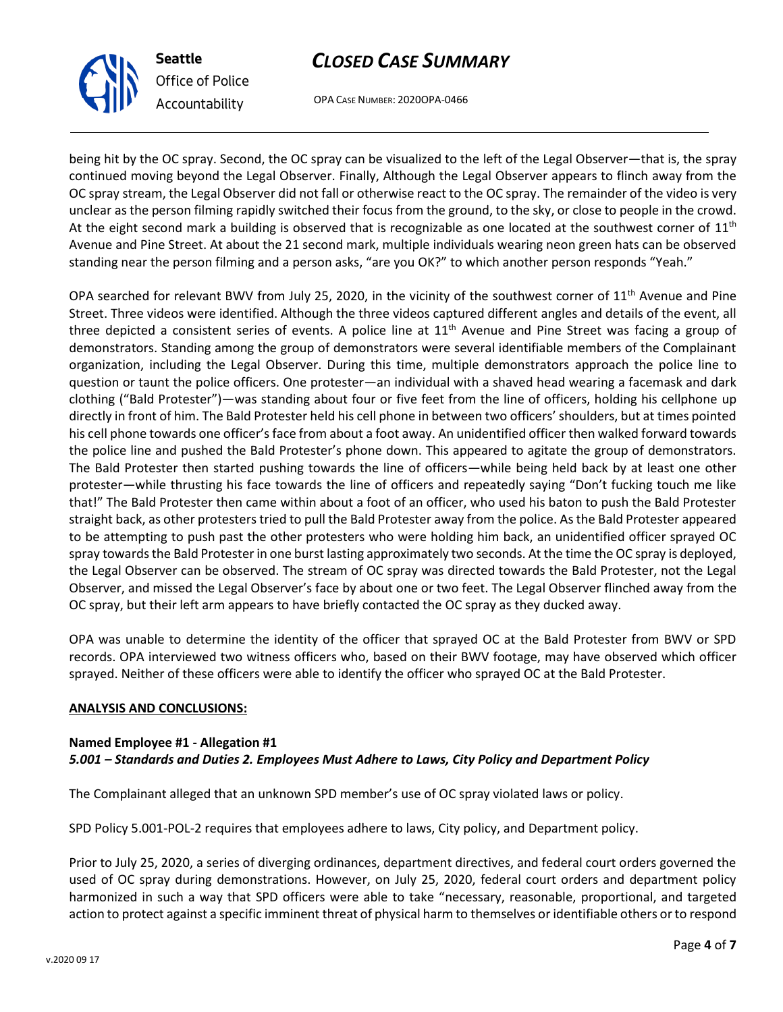

*Office of Police Accountability*

OPA CASE NUMBER: 2020OPA-0466

being hit by the OC spray. Second, the OC spray can be visualized to the left of the Legal Observer—that is, the spray continued moving beyond the Legal Observer. Finally, Although the Legal Observer appears to flinch away from the OC spray stream, the Legal Observer did not fall or otherwise react to the OC spray. The remainder of the video is very unclear as the person filming rapidly switched their focus from the ground, to the sky, or close to people in the crowd. At the eight second mark a building is observed that is recognizable as one located at the southwest corner of  $11<sup>th</sup>$ Avenue and Pine Street. At about the 21 second mark, multiple individuals wearing neon green hats can be observed standing near the person filming and a person asks, "are you OK?" to which another person responds "Yeah."

OPA searched for relevant BWV from July 25, 2020, in the vicinity of the southwest corner of  $11<sup>th</sup>$  Avenue and Pine Street. Three videos were identified. Although the three videos captured different angles and details of the event, all three depicted a consistent series of events. A police line at 11<sup>th</sup> Avenue and Pine Street was facing a group of demonstrators. Standing among the group of demonstrators were several identifiable members of the Complainant organization, including the Legal Observer. During this time, multiple demonstrators approach the police line to question or taunt the police officers. One protester—an individual with a shaved head wearing a facemask and dark clothing ("Bald Protester")—was standing about four or five feet from the line of officers, holding his cellphone up directly in front of him. The Bald Protester held his cell phone in between two officers' shoulders, but at times pointed his cell phone towards one officer's face from about a foot away. An unidentified officer then walked forward towards the police line and pushed the Bald Protester's phone down. This appeared to agitate the group of demonstrators. The Bald Protester then started pushing towards the line of officers—while being held back by at least one other protester—while thrusting his face towards the line of officers and repeatedly saying "Don't fucking touch me like that!" The Bald Protester then came within about a foot of an officer, who used his baton to push the Bald Protester straight back, as other protesters tried to pull the Bald Protester away from the police. As the Bald Protester appeared to be attempting to push past the other protesters who were holding him back, an unidentified officer sprayed OC spray towards the Bald Protester in one burst lasting approximately two seconds. At the time the OC spray is deployed, the Legal Observer can be observed. The stream of OC spray was directed towards the Bald Protester, not the Legal Observer, and missed the Legal Observer's face by about one or two feet. The Legal Observer flinched away from the OC spray, but their left arm appears to have briefly contacted the OC spray as they ducked away.

OPA was unable to determine the identity of the officer that sprayed OC at the Bald Protester from BWV or SPD records. OPA interviewed two witness officers who, based on their BWV footage, may have observed which officer sprayed. Neither of these officers were able to identify the officer who sprayed OC at the Bald Protester.

## **ANALYSIS AND CONCLUSIONS:**

#### **Named Employee #1 - Allegation #1** *5.001 – Standards and Duties 2. Employees Must Adhere to Laws, City Policy and Department Policy*

The Complainant alleged that an unknown SPD member's use of OC spray violated laws or policy.

SPD Policy 5.001-POL-2 requires that employees adhere to laws, City policy, and Department policy.

Prior to July 25, 2020, a series of diverging ordinances, department directives, and federal court orders governed the used of OC spray during demonstrations. However, on July 25, 2020, federal court orders and department policy harmonized in such a way that SPD officers were able to take "necessary, reasonable, proportional, and targeted action to protect against a specific imminent threat of physical harm to themselves or identifiable others or to respond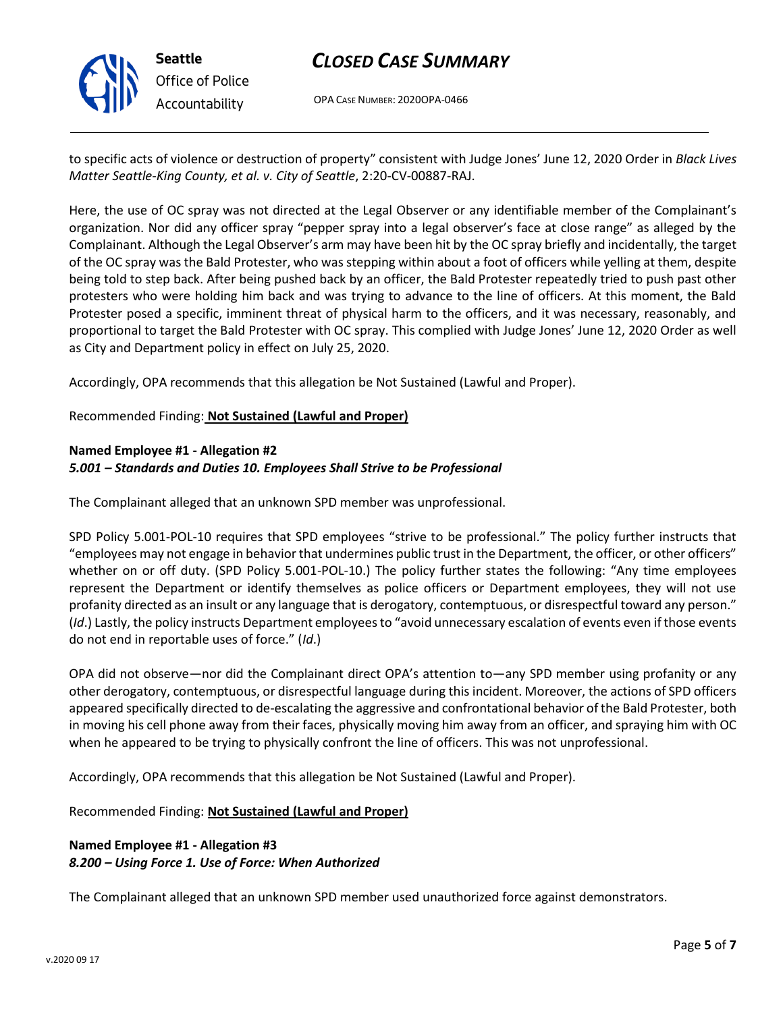**Seattle** *Office of Police Accountability*

# *CLOSED CASE SUMMARY*

OPA CASE NUMBER: 2020OPA-0466

to specific acts of violence or destruction of property" consistent with Judge Jones' June 12, 2020 Order in *Black Lives Matter Seattle-King County, et al. v. City of Seattle*, 2:20-CV-00887-RAJ.

Here, the use of OC spray was not directed at the Legal Observer or any identifiable member of the Complainant's organization. Nor did any officer spray "pepper spray into a legal observer's face at close range" as alleged by the Complainant. Although the Legal Observer's arm may have been hit by the OC spray briefly and incidentally, the target of the OC spray was the Bald Protester, who was stepping within about a foot of officers while yelling at them, despite being told to step back. After being pushed back by an officer, the Bald Protester repeatedly tried to push past other protesters who were holding him back and was trying to advance to the line of officers. At this moment, the Bald Protester posed a specific, imminent threat of physical harm to the officers, and it was necessary, reasonably, and proportional to target the Bald Protester with OC spray. This complied with Judge Jones' June 12, 2020 Order as well as City and Department policy in effect on July 25, 2020.

Accordingly, OPA recommends that this allegation be Not Sustained (Lawful and Proper).

Recommended Finding: **Not Sustained (Lawful and Proper)**

#### **Named Employee #1 - Allegation #2** *5.001 – Standards and Duties 10. Employees Shall Strive to be Professional*

The Complainant alleged that an unknown SPD member was unprofessional.

SPD Policy 5.001-POL-10 requires that SPD employees "strive to be professional." The policy further instructs that "employees may not engage in behavior that undermines public trust in the Department, the officer, or other officers" whether on or off duty. (SPD Policy 5.001-POL-10.) The policy further states the following: "Any time employees represent the Department or identify themselves as police officers or Department employees, they will not use profanity directed as an insult or any language that is derogatory, contemptuous, or disrespectful toward any person." (*Id*.) Lastly, the policy instructs Department employees to "avoid unnecessary escalation of events even if those events do not end in reportable uses of force." (*Id*.)

OPA did not observe—nor did the Complainant direct OPA's attention to—any SPD member using profanity or any other derogatory, contemptuous, or disrespectful language during this incident. Moreover, the actions of SPD officers appeared specifically directed to de-escalating the aggressive and confrontational behavior of the Bald Protester, both in moving his cell phone away from their faces, physically moving him away from an officer, and spraying him with OC when he appeared to be trying to physically confront the line of officers. This was not unprofessional.

Accordingly, OPA recommends that this allegation be Not Sustained (Lawful and Proper).

Recommended Finding: **Not Sustained (Lawful and Proper)**

## **Named Employee #1 - Allegation #3** *8.200 – Using Force 1. Use of Force: When Authorized*

The Complainant alleged that an unknown SPD member used unauthorized force against demonstrators.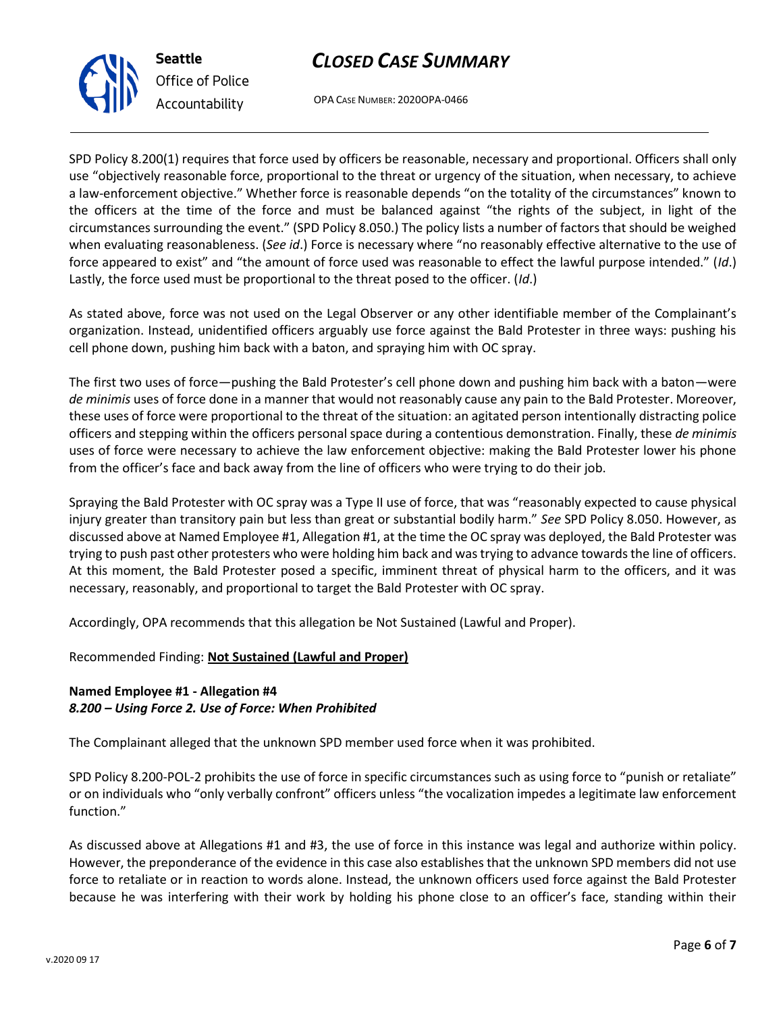OPA CASE NUMBER: 2020OPA-0466

SPD Policy 8.200(1) requires that force used by officers be reasonable, necessary and proportional. Officers shall only use "objectively reasonable force, proportional to the threat or urgency of the situation, when necessary, to achieve a law-enforcement objective." Whether force is reasonable depends "on the totality of the circumstances" known to the officers at the time of the force and must be balanced against "the rights of the subject, in light of the circumstances surrounding the event." (SPD Policy 8.050.) The policy lists a number of factors that should be weighed when evaluating reasonableness. (*See id*.) Force is necessary where "no reasonably effective alternative to the use of force appeared to exist" and "the amount of force used was reasonable to effect the lawful purpose intended." (*Id*.) Lastly, the force used must be proportional to the threat posed to the officer. (*Id*.)

As stated above, force was not used on the Legal Observer or any other identifiable member of the Complainant's organization. Instead, unidentified officers arguably use force against the Bald Protester in three ways: pushing his cell phone down, pushing him back with a baton, and spraying him with OC spray.

The first two uses of force—pushing the Bald Protester's cell phone down and pushing him back with a baton—were *de minimis* uses of force done in a manner that would not reasonably cause any pain to the Bald Protester. Moreover, these uses of force were proportional to the threat of the situation: an agitated person intentionally distracting police officers and stepping within the officers personal space during a contentious demonstration. Finally, these *de minimis* uses of force were necessary to achieve the law enforcement objective: making the Bald Protester lower his phone from the officer's face and back away from the line of officers who were trying to do their job.

Spraying the Bald Protester with OC spray was a Type II use of force, that was "reasonably expected to cause physical injury greater than transitory pain but less than great or substantial bodily harm." *See* SPD Policy 8.050. However, as discussed above at Named Employee #1, Allegation #1, at the time the OC spray was deployed, the Bald Protester was trying to push past other protesters who were holding him back and was trying to advance towards the line of officers. At this moment, the Bald Protester posed a specific, imminent threat of physical harm to the officers, and it was necessary, reasonably, and proportional to target the Bald Protester with OC spray.

Accordingly, OPA recommends that this allegation be Not Sustained (Lawful and Proper).

Recommended Finding: **Not Sustained (Lawful and Proper)**

## **Named Employee #1 - Allegation #4** *8.200 – Using Force 2. Use of Force: When Prohibited*

The Complainant alleged that the unknown SPD member used force when it was prohibited.

SPD Policy 8.200-POL-2 prohibits the use of force in specific circumstances such as using force to "punish or retaliate" or on individuals who "only verbally confront" officers unless "the vocalization impedes a legitimate law enforcement function."

As discussed above at Allegations #1 and #3, the use of force in this instance was legal and authorize within policy. However, the preponderance of the evidence in this case also establishes that the unknown SPD members did not use force to retaliate or in reaction to words alone. Instead, the unknown officers used force against the Bald Protester because he was interfering with their work by holding his phone close to an officer's face, standing within their



**Seattle** *Office of Police Accountability*